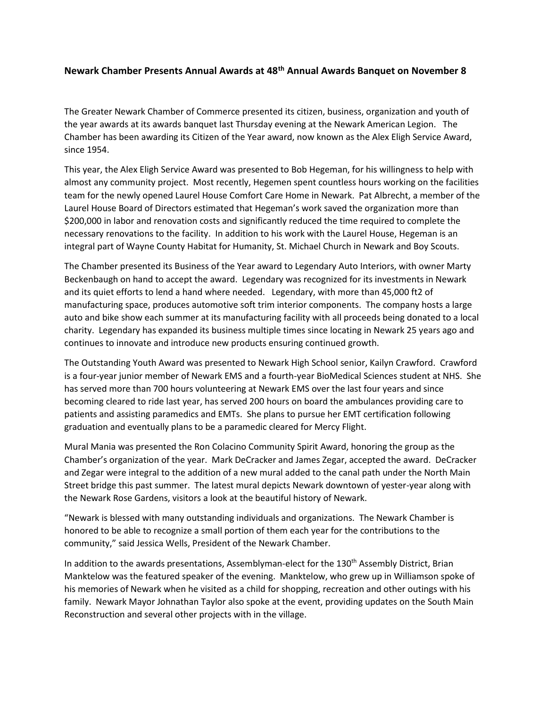## **Newark Chamber Presents Annual Awards at 48th Annual Awards Banquet on November 8**

The Greater Newark Chamber of Commerce presented its citizen, business, organization and youth of the year awards at its awards banquet last Thursday evening at the Newark American Legion. The Chamber has been awarding its Citizen of the Year award, now known as the Alex Eligh Service Award, since 1954.

This year, the Alex Eligh Service Award was presented to Bob Hegeman, for his willingness to help with almost any community project. Most recently, Hegemen spent countless hours working on the facilities team for the newly opened Laurel House Comfort Care Home in Newark. Pat Albrecht, a member of the Laurel House Board of Directors estimated that Hegeman's work saved the organization more than \$200,000 in labor and renovation costs and significantly reduced the time required to complete the necessary renovations to the facility. In addition to his work with the Laurel House, Hegeman is an integral part of Wayne County Habitat for Humanity, St. Michael Church in Newark and Boy Scouts.

The Chamber presented its Business of the Year award to Legendary Auto Interiors, with owner Marty Beckenbaugh on hand to accept the award. Legendary was recognized for its investments in Newark and its quiet efforts to lend a hand where needed. Legendary, with more than 45,000 ft2 of manufacturing space, produces automotive soft trim interior components. The company hosts a large auto and bike show each summer at its manufacturing facility with all proceeds being donated to a local charity. Legendary has expanded its business multiple times since locating in Newark 25 years ago and continues to innovate and introduce new products ensuring continued growth.

The Outstanding Youth Award was presented to Newark High School senior, Kailyn Crawford. Crawford is a four-year junior member of Newark EMS and a fourth-year BioMedical Sciences student at NHS. She has served more than 700 hours volunteering at Newark EMS over the last four years and since becoming cleared to ride last year, has served 200 hours on board the ambulances providing care to patients and assisting paramedics and EMTs. She plans to pursue her EMT certification following graduation and eventually plans to be a paramedic cleared for Mercy Flight.

Mural Mania was presented the Ron Colacino Community Spirit Award, honoring the group as the Chamber's organization of the year. Mark DeCracker and James Zegar, accepted the award. DeCracker and Zegar were integral to the addition of a new mural added to the canal path under the North Main Street bridge this past summer. The latest mural depicts Newark downtown of yester-year along with the Newark Rose Gardens, visitors a look at the beautiful history of Newark.

"Newark is blessed with many outstanding individuals and organizations. The Newark Chamber is honored to be able to recognize a small portion of them each year for the contributions to the community," said Jessica Wells, President of the Newark Chamber.

In addition to the awards presentations, Assemblyman-elect for the 130<sup>th</sup> Assembly District, Brian Manktelow was the featured speaker of the evening. Manktelow, who grew up in Williamson spoke of his memories of Newark when he visited as a child for shopping, recreation and other outings with his family. Newark Mayor Johnathan Taylor also spoke at the event, providing updates on the South Main Reconstruction and several other projects with in the village.